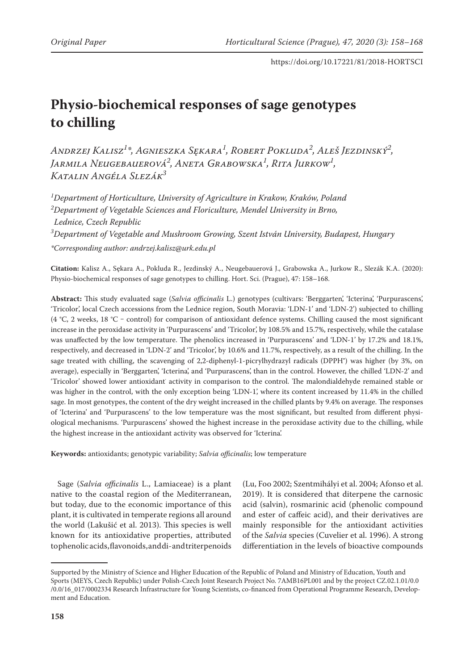# **Physio-biochemical responses of sage genotypes to chilling**

*Andrzej Kalisz<sup>1</sup> \*, Agnieszka Sękara1 , Robert Pokluda2 , Aleš Jezdinský<sup>2</sup> , Jarmila Neugebauerová2 , Aneta Grabowska1 , Rita Jurkow1 , Katalin Angéla Slezák<sup>3</sup>*

*1 Department of Horticulture, University of Agriculture in Krakow, Kraków, Poland 2 Department of Vegetable Sciences and Floriculture, Mendel University in Brno, Lednice, Czech Republic 3 Department of Vegetable and Mushroom Growing, Szent István University, Budapest, Hungary \*Corresponding author: andrzej.kalisz@urk.edu.pl*

**Citation:** Kalisz A., Sękara A., Pokluda R., Jezdinský A., Neugebauerová J., Grabowska A., Jurkow R., Slezák K.A. (2020): Physio-biochemical responses of sage genotypes to chilling. Hort. Sci. (Prague), 47: 158–168.

**Abstract:** This study evaluated sage (*Salvia officinalis* L.) genotypes (cultivars: 'Berggarten', 'Icterina', 'Purpurascens', 'Tricolor', local Czech accessions from the Lednice region, South Moravia: 'LDN-1' and 'LDN-2') subjected to chilling (4 °C, 2 weeks, 18 °C – control) for comparison of antioxidant defence systems. Chilling caused the most significant increase in the peroxidase activity in 'Purpurascens' and 'Tricolor', by 108.5% and 15.7%, respectively, while the catalase was unaffected by the low temperature. The phenolics increased in 'Purpurascens' and 'LDN-1' by 17.2% and 18.1%, respectively, and decreased in 'LDN-2' and 'Tricolor', by 10.6% and 11.7%, respectively, as a result of the chilling. In the sage treated with chilling, the scavenging of 2,2-diphenyl-1-picrylhydrazyl radicals (DPPH• ) was higher (by 3%, on average), especially in 'Berggarten', 'Icterina', and 'Purpurascens', than in the control. However, the chilled 'LDN-2' and 'Tricolor' showed lower antioxidant<sup>∙</sup> activity in comparison to the control. The malondialdehyde remained stable or was higher in the control, with the only exception being 'LDN-1', where its content increased by 11.4% in the chilled sage. In most genotypes, the content of the dry weight increased in the chilled plants by 9.4% on average. The responses of 'Icterina' and 'Purpurascens' to the low temperature was the most significant, but resulted from different physiological mechanisms. 'Purpurascens' showed the highest increase in the peroxidase activity due to the chilling, while the highest increase in the antioxidant activity was observed for 'Icterina'.

**Keywords:** antioxidants; genotypic variability; *Salvia officinalis*; low temperature

Sage (*Salvia officinalis* L., Lamiaceae) is a plant native to the coastal region of the Mediterranean, but today, due to the economic importance of this plant, it is cultivated in temperate regions all around the world (Lakušić et al. 2013). This species is well known for its antioxidative properties, attributed to phenolic acids, flavonoids, and di- and triterpenoids

(Lu, Foo 2002; Szentmihályi et al. 2004; Afonso et al. 2019). It is considered that diterpene the carnosic acid (salvin), rosmarinic acid (phenolic compound and ester of caffeic acid), and their derivatives are mainly responsible for the antioxidant activities of the *Salvia* species (Cuvelier et al. 1996). A strong differentiation in the levels of bioactive compounds

Supported by the Ministry of Science and Higher Education of the Republic of Poland and Ministry of Education, Youth and Sports (MEYS, Czech Republic) under Polish-Czech Joint Research Project No. 7AMB16PL001 and by the project CZ.02.1.01/0.0 /0.0/16\_017/0002334 Research Infrastructure for Young Scientists, co-financed from Operational Programme Research, Development and Education.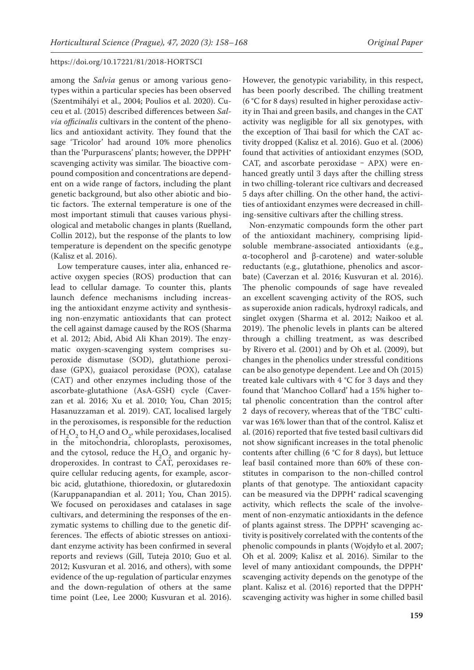among the *Salvia* genus or among various genotypes within a particular species has been observed (Szentmihályi et al., 2004; Poulios et al. 2020). Cuceu et al. (2015) described differences between *Salvia officinalis* cultivars in the content of the phenolics and antioxidant activity. They found that the sage 'Tricolor' had around 10% more phenolics than the 'Purpurascens' plants; however, the DPPH• scavenging activity was similar. The bioactive compound composition and concentrations are dependent on a wide range of factors, including the plant genetic background, but also other abiotic and biotic factors. The external temperature is one of the most important stimuli that causes various physiological and metabolic changes in plants (Ruelland, Collin 2012), but the response of the plants to low temperature is dependent on the specific genotype (Kalisz et al. 2016).

Low temperature causes, inter alia, enhanced reactive oxygen species (ROS) production that can lead to cellular damage. To counter this, plants launch defence mechanisms including increasing the antioxidant enzyme activity and synthesising non-enzymatic antioxidants that can protect the cell against damage caused by the ROS (Sharma et al. 2012; Abid, Abid Ali Khan 2019). The enzymatic oxygen-scavenging system comprises superoxide dismutase (SOD), glutathione peroxidase (GPX), guaiacol peroxidase (POX), catalase (CAT) and other enzymes including those of the ascorbate-glutathione (AsA-GSH) cycle (Caverzan et al. 2016; Xu et al. 2010; You, Chan 2015; Hasanuzzaman et al. 2019). CAT, localised largely in the peroxisomes, is responsible for the reduction of  $H_2O_2$  to  $H_2O$  and  $O_2$ , while peroxidases, localised in the mitochondria, chloroplasts, peroxisomes, and the cytosol, reduce the  $H_2O_2$  and organic hydroperoxides. In contrast to CAT, peroxidases require cellular reducing agents, for example, ascorbic acid, glutathione, thioredoxin, or glutaredoxin (Karuppanapandian et al. 2011; You, Chan 2015). We focused on peroxidases and catalases in sage cultivars, and determining the responses of the enzymatic systems to chilling due to the genetic differences. The effects of abiotic stresses on antioxidant enzyme activity has been confirmed in several reports and reviews (Gill, Tuteja 2010; Guo et al. 2012; Kusvuran et al. 2016, and others), with some evidence of the up-regulation of particular enzymes and the down-regulation of others at the same time point (Lee, Lee 2000; Kusvuran et al. 2016).

However, the genotypic variability, in this respect, has been poorly described. The chilling treatment (6 °C for 8 days) resulted in higher peroxidase activity in Thai and green basils, and changes in the CAT activity was negligible for all six genotypes, with the exception of Thai basil for which the CAT activity dropped (Kalisz et al. 2016). Guo et al. (2006) found that activities of antioxidant enzymes (SOD, CAT, and ascorbate peroxidase  $-$  APX) were enhanced greatly until 3 days after the chilling stress in two chilling-tolerant rice cultivars and decreased 5 days after chilling. On the other hand, the activities of antioxidant enzymes were decreased in chilling-sensitive cultivars after the chilling stress.

Non-enzymatic compounds form the other part of the antioxidant machinery, comprising lipidsoluble membrane-associated antioxidants (e.g., α-tocopherol and β-carotene) and water-soluble reductants (e.g., glutathione, phenolics and ascorbate) (Caverzan et al. 2016; Kusvuran et al. 2016). The phenolic compounds of sage have revealed an excellent scavenging activity of the ROS, such as superoxide anion radicals, hydroxyl radicals, and singlet oxygen (Sharma et al. 2012; Naikoo et al. 2019). The phenolic levels in plants can be altered through a chilling treatment, as was described by Rivero et al. (2001) and by Oh et al. (2009), but changes in the phenolics under stressful conditions can be also genotype dependent. Lee and Oh (2015) treated kale cultivars with 4 °C for 3 days and they found that 'Manchoo Collard' had a 15% higher total phenolic concentration than the control after 2 days of recovery, whereas that of the 'TBC' cultivar was 16% lower than that of the control. Kalisz et al. (2016) reported that five tested basil cultivars did not show significant increases in the total phenolic contents after chilling (6 °C for 8 days), but lettuce leaf basil contained more than 60% of these constitutes in comparison to the non-chilled control plants of that genotype. The antioxidant capacity can be measured via the DPPH<sup>•</sup> radical scavenging activity, which reflects the scale of the involvement of non-enzymatic antioxidants in the defence of plants against stress. The DPPH<sup>•</sup> scavenging activity is positively correlated with the contents of the phenolic compounds in plants (Wojdyło et al. 2007; Oh et al. 2009; Kalisz et al. 2016). Similar to the level of many antioxidant compounds, the DPPH<sup>\*</sup> scavenging activity depends on the genotype of the plant. Kalisz et al. (2016) reported that the DPPH<sup>\*</sup> scavenging activity was higher in some chilled basil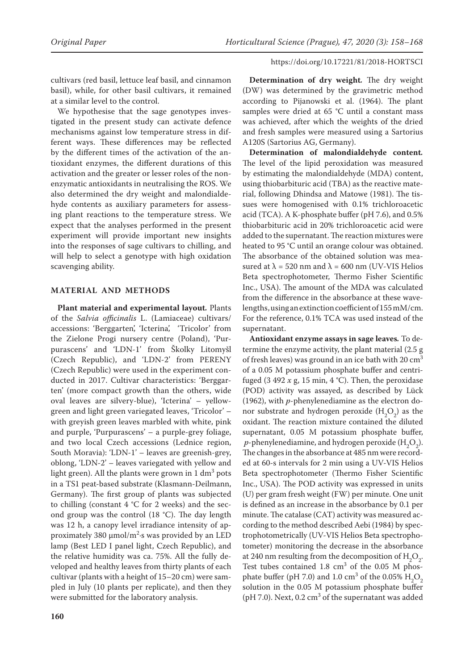cultivars (red basil, lettuce leaf basil, and cinnamon basil), while, for other basil cultivars, it remained at a similar level to the control.

We hypothesise that the sage genotypes investigated in the present study can activate defence mechanisms against low temperature stress in different ways. These differences may be reflected by the different times of the activation of the antioxidant enzymes, the different durations of this activation and the greater or lesser roles of the nonenzymatic antioxidants in neutralising the ROS. We also determined the dry weight and malondialdehyde contents as auxiliary parameters for assessing plant reactions to the temperature stress. We expect that the analyses performed in the present experiment will provide important new insights into the responses of sage cultivars to chilling, and will help to select a genotype with high oxidation scavenging ability.

# **MATERIAL AND METHODS**

**Plant material and experimental layout***.* Plants of the *Salvia officinalis* L. (Lamiaceae) cultivars/ accessions: 'Berggarten', 'Icterina', 'Tricolor' from the Zielone Progi nursery centre (Poland), 'Purpurascens' and 'LDN-1' from Školky Litomyšl (Czech Republic), and 'LDN-2' from PERENY (Czech Republic) were used in the experiment conducted in 2017. Cultivar characteristics: 'Berggarten' (more compact growth than the others, wide oval leaves are silvery-blue), 'Icterina' – yellowgreen and light green variegated leaves, 'Tricolor' – with greyish green leaves marbled with white, pink and purple, 'Purpurascens' – a purple-grey foliage, and two local Czech accessions (Lednice region, South Moravia): 'LDN-1' – leaves are greenish-grey, oblong, 'LDN-2' – leaves variegated with yellow and light green). All the plants were grown in  $1 \text{ dm}^3$  pots in a TS1 peat-based substrate (Klasmann-Deilmann, Germany). The first group of plants was subjected to chilling (constant  $4 \text{ }^{\circ}C$  for 2 weeks) and the second group was the control (18 °C). The day length was 12 h, a canopy level irradiance intensity of approximately 380  $\mu$ mol/m<sup>2</sup>·s was provided by an LED lamp (Best LED I panel light, Czech Republic), and the relative humidity was ca. 75%. All the fully developed and healthy leaves from thirty plants of each cultivar (plants with a height of 15–20 cm) were sampled in July (10 plants per replicate), and then they were submitted for the laboratory analysis.

**Determination of dry weight***.* The dry weight (DW) was determined by the gravimetric method according to Pijanowski et al. (1964). The plant samples were dried at 65 °C until a constant mass was achieved, after which the weights of the dried and fresh samples were measured using a Sartorius A120S (Sartorius AG, Germany).

**Determination of malondialdehyde content***.*  The level of the lipid peroxidation was measured by estimating the malondialdehyde (MDA) content, using thiobarbituric acid (TBA) as the reactive material, following Dhindsa and Matowe (1981). The tissues were homogenised with 0.1% trichloroacetic acid (TCA). A K-phosphate buffer (pH 7.6), and 0.5% thiobarbituric acid in 20% trichloroacetic acid were added to the supernatant. The reaction mixtures were heated to 95 °C until an orange colour was obtained. The absorbance of the obtained solution was measured at  $\lambda$  = 520 nm and  $\lambda$  = 600 nm (UV-VIS Helios Beta spectrophotometer, Thermo Fisher Scientific Inc., USA). The amount of the MDA was calculated from the difference in the absorbance at these wavelengths, using an extinction coefficient of 155mM/cm. For the reference, 0.1% TCA was used instead of the supernatant.

**Antioxidant enzyme assays in sage leaves***.* To determine the enzyme activity, the plant material (2.5 g of fresh leaves) was ground in an ice bath with  $20 \text{ cm}^3$ of a 0.05 M potassium phosphate buffer and centrifuged (3 492  $x$  g, 15 min, 4 °C). Then, the peroxidase (POD) activity was assayed, as described by Lück (1962), with *p*-phenylenediamine as the electron donor substrate and hydrogen peroxide  $(H_2O_2)$  as the oxidant. The reaction mixture contained the diluted supernatant, 0.05 M potassium phosphate buffer, *p*-phenylenediamine, and hydrogen peroxide  $(H_2O_2)$ . The changes in the absorbance at 485 nm were recorded at 60-s intervals for 2 min using a UV-VIS Helios Beta spectrophotometer (Thermo Fisher Scientific Inc., USA). The POD activity was expressed in units (U) per gram fresh weight (FW) per minute. One unit is defined as an increase in the absorbance by 0.1 per minute. The catalase (CAT) activity was measured according to the method described Aebi (1984) by spectrophotometrically (UV-VIS Helios Beta spectrophotometer) monitoring the decrease in the absorbance at 240 nm resulting from the decomposition of  $H_2O_2$ . Test tubes contained  $1.8 \text{ cm}^3$  of the 0.05 M phosphate buffer (pH 7.0) and 1.0 cm<sup>3</sup> of the 0.05%  $H_2O_2$ solution in the 0.05 M potassium phosphate buffer (pH 7.0). Next,  $0.2 \text{ cm}^3$  of the supernatant was added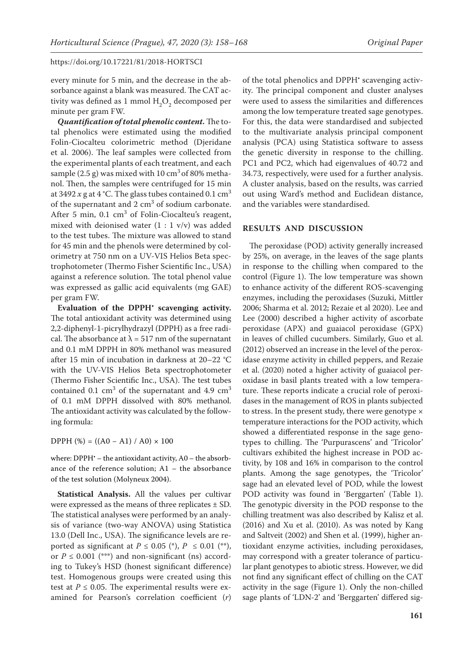every minute for 5 min, and the decrease in the absorbance against a blank was measured. The CAT activity was defined as 1 mmol  $H_2O_2$  decomposed per minute per gram FW.

*Quantification of total phenolic content.* The total phenolics were estimated using the modified Folin-Ciocalteu colorimetric method (Djeridane et al. 2006). The leaf samples were collected from the experimental plants of each treatment, and each sample  $(2.5 \text{ g})$  was mixed with 10 cm<sup>3</sup> of 80% methanol. Then, the samples were centrifuged for 15 min at 3492  $x$  g at 4 °C. The glass tubes contained 0.1 cm<sup>3</sup> of the supernatant and  $2 \text{ cm}^3$  of sodium carbonate. After 5 min,  $0.1 \text{ cm}^3$  of Folin-Ciocalteu's reagent, mixed with deionised water  $(1 : 1$  v/v) was added to the test tubes. The mixture was allowed to stand for 45 min and the phenols were determined by colorimetry at 750 nm on a UV-VIS Helios Beta spectrophotometer (Thermo Fisher Scientific Inc., USA) against a reference solution. The total phenol value was expressed as gallic acid equivalents (mg GAE) per gram FW.

Evaluation of the DPPH' scavenging activity. The total antioxidant activity was determined using 2,2-diphenyl-1-picrylhydrazyl (DPPH) as a free radical. The absorbance at  $\lambda = 517$  nm of the supernatant and 0.1 mM DPPH in 80% methanol was measured after 15 min of incubation in darkness at 20–22 °C with the UV-VIS Helios Beta spectrophotometer (Thermo Fisher Scientific Inc., USA). The test tubes contained 0.1  $\text{cm}^3$  of the supernatant and 4.9  $\text{cm}^3$ of 0.1 mM DPPH dissolved with 80% methanol. The antioxidant activity was calculated by the following formula:

 $DPPH$  (%) = ((A0 – A1) / A0) × 100

where: DPPH<sup>\*</sup> – the antioxidant activity, A0 – the absorbance of the reference solution; A1 – the absorbance of the test solution (Molyneux 2004).

**Statistical Analysis.** All the values per cultivar were expressed as the means of three replicates  $\pm$  SD. The statistical analyses were performed by an analysis of variance (two-way ANOVA) using Statistica 13.0 (Dell Inc., USA). The significance levels are reported as significant at  $P \le 0.05$  (\*),  $P \le 0.01$  (\*\*), or  $P \le 0.001$  (\*\*\*) and non-significant (ns) according to Tukey's HSD (honest significant difference) test. Homogenous groups were created using this test at  $P \le 0.05$ . The experimental results were examined for Pearson's correlation coefficient (*r*)

of the total phenolics and DPPH<sup>•</sup> scavenging activity. The principal component and cluster analyses were used to assess the similarities and differences among the low temperature treated sage genotypes. For this, the data were standardised and subjected to the multivariate analysis principal component analysis (PCA) using Statistica software to assess the genetic diversity in response to the chilling. PC1 and PC2, which had eigenvalues of 40.72 and 34.73, respectively, were used for a further analysis. A cluster analysis, based on the results, was carried out using Ward's method and Euclidean distance, and the variables were standardised.

# **RESULTS AND DISCUSSION**

The peroxidase (POD) activity generally increased by 25%, on average, in the leaves of the sage plants in response to the chilling when compared to the control (Figure 1). The low temperature was shown to enhance activity of the different ROS-scavenging enzymes, including the peroxidases (Suzuki, Mittler 2006; Sharma et al. 2012; Rezaie et al 2020). Lee and Lee (2000) described a higher activity of ascorbate peroxidase (APX) and guaiacol peroxidase (GPX) in leaves of chilled cucumbers. Similarly, Guo et al. (2012) observed an increase in the level of the peroxidase enzyme activity in chilled peppers, and Rezaie et al. (2020) noted a higher activity of guaiacol peroxidase in basil plants treated with a low temperature. These reports indicate a crucial role of peroxidases in the management of ROS in plants subjected to stress. In the present study, there were genotype  $\times$ temperature interactions for the POD activity, which showed a differentiated response in the sage genotypes to chilling. The 'Purpurascens' and 'Tricolor' cultivars exhibited the highest increase in POD activity, by 108 and 16% in comparison to the control plants. Among the sage genotypes, the 'Tricolor' sage had an elevated level of POD, while the lowest POD activity was found in 'Berggarten' (Table 1). The genotypic diversity in the POD response to the chilling treatment was also described by Kalisz et al. (2016) and Xu et al. (2010). As was noted by Kang and Saltveit (2002) and Shen et al. (1999), higher antioxidant enzyme activities, including peroxidases, may correspond with a greater tolerance of particular plant genotypes to abiotic stress. However, we did not find any significant effect of chilling on the CAT activity in the sage (Figure 1). Only the non-chilled sage plants of 'LDN-2' and 'Berggarten' differed sig-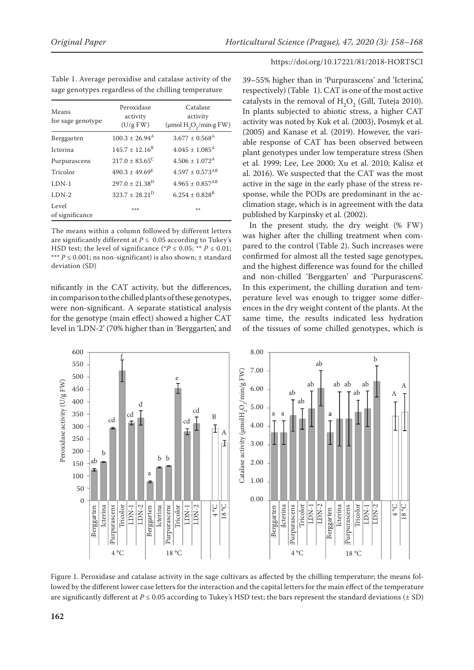| Table 1. Average peroxidise and catalase activity of the |  |
|----------------------------------------------------------|--|
| sage genotypes regardless of the chilling temperature    |  |

| Means<br>for sage genotype | Peroxidase<br>activity<br>(U/g FW) | Catalase<br>activity<br>$(\mu \text{mol H}_2\text{O}_2/\text{min} \cdot gFW)$ |
|----------------------------|------------------------------------|-------------------------------------------------------------------------------|
| Berggarten                 | $100.3 \pm 26.94^{\text{A}}$       | $3.677 \pm 0.568$ <sup>A</sup>                                                |
| <b>Icterina</b>            | $145.7 \pm 12.16^{\text{B}}$       | $4.045 + 1.085^{\text{A}}$                                                    |
| Purpurascens               | $217.0 \pm 83.65^{\circ}$          | $4.506 \pm 1.072$ <sup>A</sup>                                                |
| Tricolor                   | $490.3 \pm 49.69^{\text{E}}$       | $4.597 \pm 0.573$ <sup>AB</sup>                                               |
| LDN-1                      | $297.0 \pm 21.38^D$                | $4.965 \pm 0.857$ <sup>AB</sup>                                               |
| $LDN-2$                    | $323.7 + 28.21^D$                  | $6.254 \pm 0.828$ <sup>B</sup>                                                |
| Level<br>of significance   | 物物物                                | 培物                                                                            |

The means within a column followed by different letters are significantly different at  $P \leq 0.05$  according to Tukey's HSD test; the level of significance (\* $P \le 0.05$ ; \*\*  $P \le 0.01$ ; \*\*\* *P* ≤ 0.001; ns non-significant) is also shown; ± standard deviation (SD)

nificantly in the CAT activity, but the differences, in comparison to the chilled plants of these genotypes, were non-significant. A separate statistical analysis for the genotype (main effect) showed a higher CAT level in 'LDN-2' (70% higher than in 'Berggarten', and https://doi.org/10.17221/81/2018-HORTSCI

39–55% higher than in 'Purpurascens' and 'Icterina', respectively) (Table 1). CAT is one of the most active catalysts in the removal of  $H_2O_2$  (Gill, Tuteja 2010). In plants subjected to abiotic stress, a higher CAT activity was noted by Kuk et al. (2003), Posmyk et al. (2005) and Kanase et al. (2019). However, the variable response of CAT has been observed between plant genotypes under low temperature stress (Shen et al. 1999; Lee, Lee 2000; Xu et al. 2010; Kalisz et al. 2016). We suspected that the CAT was the most active in the sage in the early phase of the stress response, while the PODs are predominant in the acclimation stage, which is in agreement with the data published by Karpinsky et al. (2002).

In the present study, the dry weight (% FW) was higher after the chilling treatment when compared to the control (Table 2). Such increases were confirmed for almost all the tested sage genotypes, and the highest difference was found for the chilled and non-chilled 'Berggarten' and 'Purpurascens'. In this experiment, the chilling duration and temperature level was enough to trigger some differences in the dry weight content of the plants. At the same time, the results indicated less hydration of the tissues of some chilled genotypes, which is



Figure 1. Peroxidase and catalase activity in the sage cultivars as affected by the chilling temperature; the means followed by the different lower case letters for the interaction and the capital letters for the main effect of the temperature are significantly different at  $P \le 0.05$  according to Tukey's HSD test; the bars represent the standard deviations ( $\pm$  SD)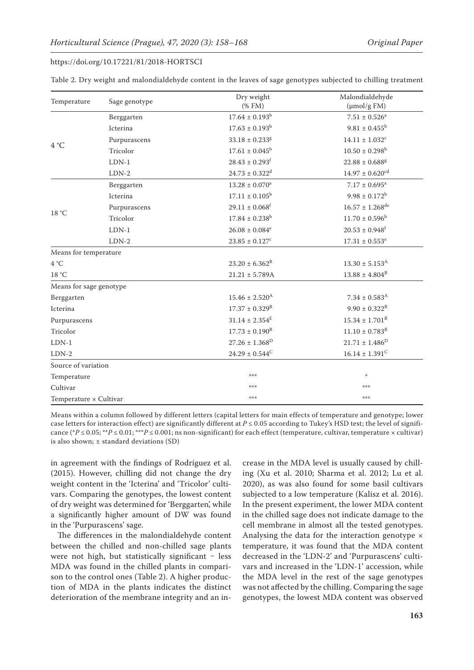| Table 2. Dry weight and malondialdehyde content in the leaves of sage genotypes subjected to chilling treatment |  |
|-----------------------------------------------------------------------------------------------------------------|--|
|-----------------------------------------------------------------------------------------------------------------|--|

| Temperature              | Sage genotype | Dry weight<br>$(%$ (% FM)      | Malondialdehyde<br>$(\mu mol/g FM)$ |
|--------------------------|---------------|--------------------------------|-------------------------------------|
|                          | Berggarten    | $17.64 \pm 0.193^b$            | $7.51 \pm 0.526^a$                  |
| 4 °C                     | Icterina      | $17.63 \pm 0.193^b$            | $9.81 \pm 0.455^b$                  |
|                          | Purpurascens  | $33.18 \pm 0.233$ <sup>g</sup> | $14.11 \pm 1.032$ <sup>c</sup>      |
|                          | Tricolor      | $17.61 \pm 0.045^b$            | $10.50 \pm 0.298^{\rm b}$           |
|                          | $LDN-1$       | $28.43 \pm 0.293$ <sup>f</sup> | $22.88 \pm 0.688$ <sup>g</sup>      |
|                          | $LDN-2$       | $24.73 \pm 0.322$ <sup>d</sup> | $14.97 \pm 0.620$ <sup>cd</sup>     |
| 18 °C                    | Berggarten    | $13.28 \pm 0.070$ <sup>a</sup> | $7.17 \pm 0.695^a$                  |
|                          | Icterina      | $17.11 \pm 0.105^{\rm b}$      | $9.98 \pm 0.172^b$                  |
|                          | Purpurascens  | $29.11 \pm 0.068$ <sup>f</sup> | $16.57 \pm 1.268$ <sup>de</sup>     |
|                          | Tricolor      | $17.84 \pm 0.238^{\rm b}$      | $11.70 \pm 0.596^b$                 |
|                          | $LDN-1$       | $26.08 \pm 0.084$ <sup>e</sup> | $20.53 \pm 0.948$ <sup>f</sup>      |
|                          | $LDN-2$       | $23.85 \pm 0.127$ <sup>c</sup> | $17.31 \pm 0.553$ <sup>e</sup>      |
| Means for temperature    |               |                                |                                     |
| 4 °C                     |               | $23.20 \pm 6.362^B$            | $13.30 \pm 5.153^{\text{A}}$        |
| $18\,^{\circ}\mathrm{C}$ |               | $21.21 \pm 5.789A$             | $13.88 \pm 4.804^B$                 |
| Means for sage genotype  |               |                                |                                     |
| Berggarten               |               | $15.46 \pm 2.520^{\text{A}}$   | $7.34 \pm 0.583$ <sup>A</sup>       |
| Icterina                 |               | $17.37 \pm 0.329^{\rm B}$      | $9.90 \pm 0.322^{\rm B}$            |
| Purpurascens             |               | $31.14 \pm 2.354^E$            | $15.34 \pm 1.701^{\rm B}$           |
| Tricolor                 |               | $17.73 \pm 0.190^{\text{B}}$   | $11.10 \pm 0.783^{\rm B}$           |
| $LDN-1$                  |               | $27.26 \pm 1.368^D$            | $21.71 \pm 1.486^D$                 |
| $LDN-2$                  |               | $24.29 \pm 0.544^C$            | $16.14 \pm 1.391^C$                 |
| Source of variation      |               |                                |                                     |
| Temperature              |               | ***                            | $\frac{1}{2}$                       |
| Cultivar                 |               | ***                            | ***                                 |
| Temperature × Cultivar   |               | ***                            | ***                                 |

Means within a column followed by different letters (capital letters for main effects of temperature and genotype; lower case letters for interaction effect) are significantly different at  $P \le 0.05$  according to Tukey's HSD test; the level of significance (\* $P \le 0.05$ ; \*\* $P \le 0.01$ ; \*\*\* $P \le 0.001$ ; ns non-significant) for each effect (temperature, cultivar, temperature × cultivar) is also shown; ± standard deviations (SD)

in agreement with the findings of Rodríguez et al. (2015). However, chilling did not change the dry weight content in the 'Icterina' and 'Tricolor' cultivars. Comparing the genotypes, the lowest content of dry weight was determined for 'Berggarten', while a significantly higher amount of DW was found in the 'Purpurascens' sage.

The differences in the malondialdehyde content between the chilled and non-chilled sage plants were not high, but statistically significant  $-$  less MDA was found in the chilled plants in comparison to the control ones (Table 2). A higher production of MDA in the plants indicates the distinct deterioration of the membrane integrity and an in-

crease in the MDA level is usually caused by chilling (Xu et al. 2010; Sharma et al. 2012; Lu et al. 2020), as was also found for some basil cultivars subjected to a low temperature (Kalisz et al. 2016). In the present experiment, the lower MDA content in the chilled sage does not indicate damage to the cell membrane in almost all the tested genotypes. Analysing the data for the interaction genotype  $\times$ temperature, it was found that the MDA content decreased in the 'LDN-2' and 'Purpurascens' cultivars and increased in the 'LDN-1' accession, while the MDA level in the rest of the sage genotypes was not affected by the chilling. Comparing the sage genotypes, the lowest MDA content was observed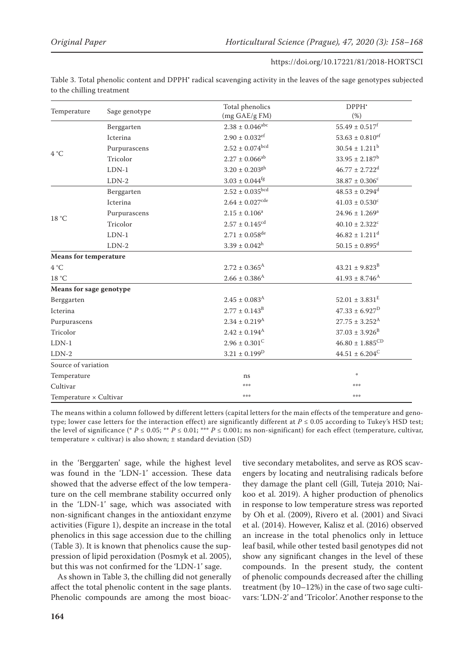| https://doi.org/10.17221/81/2018-HORTSCI |  |
|------------------------------------------|--|
|------------------------------------------|--|

| Table 3. Total phenolic content and DPPH' radical scavenging activity in the leaves of the sage genotypes subjected |  |  |
|---------------------------------------------------------------------------------------------------------------------|--|--|
| to the chilling treatment                                                                                           |  |  |

| Temperature                  | Sage genotype | Total phenolics                | DPPH <sup>*</sup>               |
|------------------------------|---------------|--------------------------------|---------------------------------|
|                              |               | (mg GAE/g FM)                  | (%)                             |
|                              | Berggarten    | $2.38 \pm 0.046^{\rm abc}$     | $55.49 \pm 0.517^f$             |
|                              | Icterina      | $2.90 \pm 0.032$ <sup>ef</sup> | $53.63 \pm 0.810$ <sup>ef</sup> |
| 4 °C                         | Purpurascens  | $2.52\pm0.074^{\text{bcd}}$    | $30.54 \pm 1.211$ <sup>b</sup>  |
|                              | Tricolor      | $2.27 \pm 0.066^{ab}$          | $33.95 \pm 2.187^b$             |
|                              | $LDN-1$       | $3.20 \pm 0.203$ <sup>gh</sup> | $46.77 \pm 2.722$ <sup>d</sup>  |
|                              | $LDN-2$       | $3.03 \pm 0.044$ <sup>fg</sup> | $38.87 \pm 0.306$ <sup>c</sup>  |
|                              | Berggarten    | $2.52\pm0.035^{\text{bcd}}$    | $48.53 \pm 0.294$ <sup>d</sup>  |
|                              | Icterina      | $2.64 \pm 0.027^{\rm cde}$     | $41.03 \pm 0.530$ <sup>c</sup>  |
|                              | Purpurascens  | $2.15 \pm 0.106^a$             | $24.96 \pm 1.269^a$             |
| 18 °C                        | Tricolor      | $2.57 \pm 0.145^{\rm cd}$      | $40.10 \pm 2.322$ <sup>c</sup>  |
|                              | $LDN-1$       | $2.71 \pm 0.058^{\rm de}$      | $46.82 \pm 1.211$ <sup>d</sup>  |
|                              | $LDN-2$       | $3.39 \pm 0.042^{\rm h}$       | $50.15 \pm 0.895$ <sup>d</sup>  |
| <b>Means for temperature</b> |               |                                |                                 |
| 4 °C                         |               | $2.72 \pm 0.365$ <sup>A</sup>  | $43.21 \pm 9.823^{\mathrm{B}}$  |
| 18 °C                        |               | $2.66 \pm 0.386$ <sup>A</sup>  | $41.93 \pm 8.746^{\text{A}}$    |
| Means for sage genotype      |               |                                |                                 |
| Berggarten                   |               | $2.45 \pm 0.083^{\rm A}$       | $52.01 \pm 3.831^E$             |
| Icterina                     |               | $2.77 \pm 0.143^{\rm B}$       | $47.33 \pm 6.927^D$             |
| Purpurascens                 |               | $2.34 \pm 0.219$ <sup>A</sup>  | $27.75 \pm 3.252^{\text{A}}$    |
| Tricolor                     |               | $2.42\pm0.194^{\mathrm{A}}$    | $37.03 \pm 3.926^B$             |
| $LDN-1$                      |               | $2.96\pm0.301^{\rm C}$         | $46.80 \pm 1.885^{\rm CD}$      |
| $LDN-2$                      |               | $3.21 \pm 0.199^{\rm D}$       | $44.51 \pm 6.204^C$             |
| Source of variation          |               |                                |                                 |
| Temperature                  |               | ns                             | 崇                               |
| Cultivar                     |               | ***                            | ***                             |
| Temperature × Cultivar       |               | ***                            | ***                             |

The means within a column followed by different letters (capital letters for the main effects of the temperature and genotype; lower case letters for the interaction effect) are significantly different at *P* ≤ 0.05 according to Tukey's HSD test; the level of significance (\*  $P \le 0.05$ ; \*\*  $P \le 0.01$ ; \*\*\*  $P \le 0.001$ ; ns non-significant) for each effect (temperature, cultivar, temperature  $\times$  cultivar) is also shown;  $\pm$  standard deviation (SD)

in the 'Berggarten' sage, while the highest level was found in the 'LDN-1' accession. These data showed that the adverse effect of the low temperature on the cell membrane stability occurred only in the 'LDN-1' sage, which was associated with non-significant changes in the antioxidant enzyme activities (Figure 1), despite an increase in the total phenolics in this sage accession due to the chilling (Table 3). It is known that phenolics cause the suppression of lipid peroxidation (Posmyk et al. 2005), but this was not confirmed for the 'LDN-1' sage.

As shown in Table 3, the chilling did not generally affect the total phenolic content in the sage plants. Phenolic compounds are among the most bioac-

tive secondary metabolites, and serve as ROS scavengers by locating and neutralising radicals before they damage the plant cell (Gill, Tuteja 2010; Naikoo et al. 2019). A higher production of phenolics in response to low temperature stress was reported by Oh et al. (2009), Rivero et al. (2001) and Sivaci et al. (2014). However, Kalisz et al. (2016) observed an increase in the total phenolics only in lettuce leaf basil, while other tested basil genotypes did not show any significant changes in the level of these compounds. In the present study, the content of phenolic compounds decreased after the chilling treatment (by 10–12%) in the case of two sage cultivars: 'LDN-2' and 'Tricolor'. Another response to the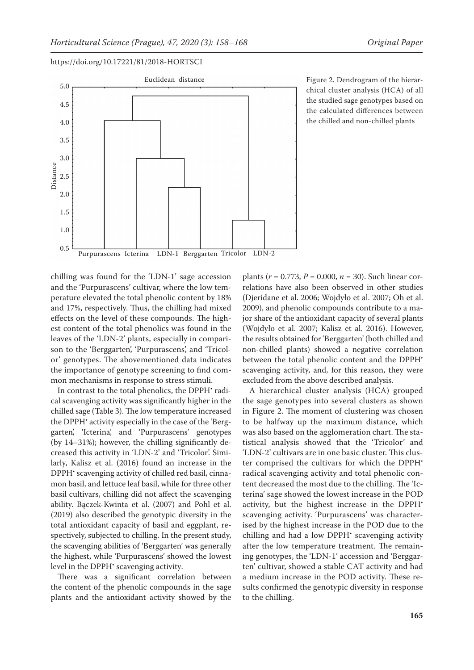

Figure 2. Dendrogram of the hierarchical cluster analysis (HCA) of all the studied sage genotypes based on the calculated differences between the chilled and non-chilled plants

chilling was found for the 'LDN-1' sage accession and the 'Purpurascens' cultivar, where the low temperature elevated the total phenolic content by 18% and 17%, respectively. Thus, the chilling had mixed effects on the level of these compounds. The highest content of the total phenolics was found in the leaves of the 'LDN-2' plants, especially in comparison to the 'Berggarten', 'Purpurascens', and 'Tricolor' genotypes. The abovementioned data indicates

the importance of genotype screening to find com-

mon mechanisms in response to stress stimuli. In contrast to the total phenolics, the DPPH' radical scavenging activity was significantly higher in the chilled sage (Table 3). The low temperature increased the DPPH<sup>\*</sup> activity especially in the case of the 'Berggarten', 'Icterina', and 'Purpurascens' genotypes (by 14–31%); however, the chilling significantly decreased this activity in 'LDN-2' and 'Tricolor'. Similarly, Kalisz et al. (2016) found an increase in the DPPH<sup>•</sup> scavenging activity of chilled red basil, cinnamon basil, and lettuce leaf basil, while for three other basil cultivars, chilling did not affect the scavenging ability. Bączek-Kwinta et al. (2007) and Pohl et al. (2019) also described the genotypic diversity in the total antioxidant capacity of basil and eggplant, respectively, subjected to chilling. In the present study, the scavenging abilities of 'Berggarten' was generally the highest, while 'Purpurascens' showed the lowest level in the DPPH<sup>•</sup> scavenging activity.

There was a significant correlation between the content of the phenolic compounds in the sage plants and the antioxidant activity showed by the plants (*r* = 0.773, *P* = 0.000, *n* = 30). Such linear correlations have also been observed in other studies (Djeridane et al. 2006; Wojdyło et al. 2007; Oh et al. 2009), and phenolic compounds contribute to a major share of the antioxidant capacity of several plants (Wojdyło et al. 2007; Kalisz et al. 2016). However, the results obtained for 'Berggarten' (both chilled and non-chilled plants) showed a negative correlation between the total phenolic content and the DPPH<sup>\*</sup> scavenging activity, and, for this reason, they were excluded from the above described analysis.

A hierarchical cluster analysis (HCA) grouped the sage genotypes into several clusters as shown in Figure 2. The moment of clustering was chosen to be halfway up the maximum distance, which was also based on the agglomeration chart. The statistical analysis showed that the 'Tricolor' and 'LDN-2' cultivars are in one basic cluster. This cluster comprised the cultivars for which the DPPH<sup>\*</sup> radical scavenging activity and total phenolic content decreased the most due to the chilling. The 'Icterina' sage showed the lowest increase in the POD activity, but the highest increase in the DPPH<sup>\*</sup> scavenging activity. 'Purpurascens' was characterised by the highest increase in the POD due to the chilling and had a low DPPH<sup>•</sup> scavenging activity after the low temperature treatment. The remaining genotypes, the 'LDN-1' accession and 'Berggarten' cultivar, showed a stable CAT activity and had a medium increase in the POD activity. These results confirmed the genotypic diversity in response to the chilling.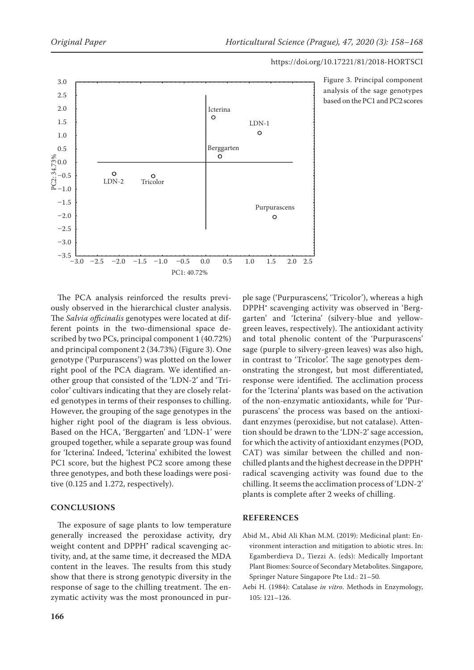



Figure 3. Principal component analysis of the sage genotypes based on the PC1 and PC2 scores

The PCA analysis reinforced the results previously observed in the hierarchical cluster analysis. The *Salvia officinalis* genotypes were located at different points in the two-dimensional space described by two PCs, principal component 1 (40.72%) and principal component 2 (34.73%) (Figure 3). One genotype ('Purpurascens') was plotted on the lower right pool of the PCA diagram. We identified another group that consisted of the 'LDN-2' and 'Tricolor' cultivars indicating that they are closely related genotypes in terms of their responses to chilling. However, the grouping of the sage genotypes in the higher right pool of the diagram is less obvious. Based on the HCA, 'Berggarten' and 'LDN-1' were grouped together, while a separate group was found for 'Icterina'. Indeed, 'Icterina' exhibited the lowest PC1 score, but the highest PC2 score among these three genotypes, and both these loadings were positive (0.125 and 1.272, respectively).

# **CONCLUSIONS**

The exposure of sage plants to low temperature generally increased the peroxidase activity, dry weight content and DPPH<sup>\*</sup> radical scavenging activity, and, at the same time, it decreased the MDA content in the leaves. The results from this study show that there is strong genotypic diversity in the response of sage to the chilling treatment. The enzymatic activity was the most pronounced in pur-

ple sage ('Purpurascens', 'Tricolor'), whereas a high DPPH<sup>•</sup> scavenging activity was observed in 'Berggarten' and 'Icterina' (silvery-blue and yellowgreen leaves, respectively). The antioxidant activity and total phenolic content of the 'Purpurascens' sage (purple to silvery-green leaves) was also high, in contrast to 'Tricolor'. The sage genotypes demonstrating the strongest, but most differentiated, response were identified. The acclimation process for the 'Icterina' plants was based on the activation of the non-enzymatic antioxidants, while for 'Purpurascens' the process was based on the antioxidant enzymes (peroxidise, but not catalase). Attention should be drawn to the 'LDN-2' sage accession, for which the activity of antioxidant enzymes (POD, CAT) was similar between the chilled and nonchilled plants and the highest decrease in the DPPH• radical scavenging activity was found due to the chilling. It seems the acclimation process of 'LDN-2' plants is complete after 2 weeks of chilling.

## **REFERENCES**

- Abid M., Abid Ali Khan M.M. (2019): Medicinal plant: Environment interaction and mitigation to abiotic stres. In: Egamberdieva D., Tiezzi A. (eds): Medically Important Plant Biomes: Source of Secondary Metabolites. Singapore, Springer Nature Singapore Pte Ltd.: 21–50.
- Aebi H. (1984): Catalase *in vitro*. Methods in Enzymology, 105: 121–126.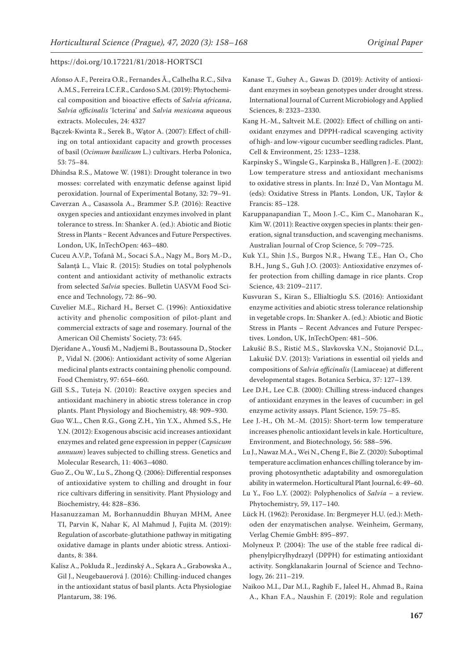- Afonso A.F., Pereira O.R., Fernandes Â., Calhelha R.C., Silva A.M.S., Ferreira I.C.F.R., Cardoso S.M. (2019): Phytochemical composition and bioactive effects of *Salvia africana*, *Salvia officinalis* 'Icterina' and *Salvia mexicana* aqueous extracts. Molecules, 24: 4327
- Bączek-Kwinta R., Serek B., Wątor A. (2007): Effect of chilling on total antioxidant capacity and growth processes of basil (*Ocimum basilicum* L.) cultivars. Herba Polonica, 53: 75–84.
- Dhindsa R.S., Matowe W. (1981): Drought tolerance in two mosses: correlated with enzymatic defense against lipid peroxidation. Journal of Experimental Botany, 32: 79–91.
- Caverzan A., Casassola A., Brammer S.P. (2016): Reactive oxygen species and antioxidant enzymes involved in plant tolerance to stress. In: Shanker A. (ed.): Abiotic and Biotic Stress in Plants – Recent Advances and Future Perspectives. London, UK, InTechOpen: 463–480.
- Cuceu A.V.P., Tofană M., Socaci S.A., Nagy M., Borș M.-D., Salanță L., Vlaic R. (2015): Studies on total polyphenols content and antioxidant activity of methanolic extracts from selected *Salvia* species. Bulletin UASVM Food Science and Technology, 72: 86–90.
- Cuvelier M.E., Richard H., Berset C. (1996): Antioxidative activity and phenolic composition of pilot-plant and commercial extracts of sage and rosemary. Journal of the American Oil Chemists' Society, 73: 645.
- Djeridane A., Yousfi M., Nadjemi B., Boutassouna D., Stocker P., Vidal N. (2006): Antioxidant activity of some Algerian medicinal plants extracts containing phenolic compound. Food Chemistry, 97: 654–660.
- Gill S.S., Tuteja N. (2010): Reactive oxygen species and antioxidant machinery in abiotic stress tolerance in crop plants. Plant Physiology and Biochemistry, 48: 909–930.
- Guo W.L., Chen R.G., Gong Z.H., Yin Y.X., Ahmed S.S., He Y.N. (2012): Exogenous abscisic acid increases antioxidant enzymes and related gene expression in pepper (*Capsicum annuum*) leaves subjected to chilling stress. Genetics and Molecular Research, 11: 4063–4080.
- Guo Z., Ou W., Lu S., Zhong Q. (2006): Differential responses of antioxidative system to chilling and drought in four rice cultivars differing in sensitivity. Plant Physiology and Biochemistry, 44: 828–836.
- Hasanuzzaman M, Borhannuddin Bhuyan MHM, Anee TI, Parvin K, Nahar K, Al Mahmud J, Fujita M. (2019): Regulation of ascorbate-glutathione pathway in mitigating oxidative damage in plants under abiotic stress. Antioxidants, 8: 384.
- Kalisz A., Pokluda R., Jezdinský A., Sękara A., Grabowska A., Gil J., Neugebauerová J. (2016): Chilling-induced changes in the antioxidant status of basil plants. Acta Physiologiae Plantarum, 38: 196.
- Kanase T., Guhey A., Gawas D. (2019): Activity of antioxidant enzymes in soybean genotypes under drought stress. International Journal of Current Microbiology and Applied Sciences, 8: 2323–2330.
- Kang H.-M., Saltveit M.E. (2002): Effect of chilling on antioxidant enzymes and DPPH-radical scavenging activity of high- and low-vigour cucumber seedling radicles. Plant, Cell & Environment, 25: 1233–1238.
- Karpinsky S., Wingsle G., Karpinska B., Hällgren J.-E. (2002): Low temperature stress and antioxidant mechanisms to oxidative stress in plants. In: Inzé D., Van Montagu M. (eds): Oxidative Stress in Plants. London, UK, Taylor & Francis: 85–128.
- Karuppanapandian T., Moon J.-C., Kim C., Manoharan K., Kim W. (2011): Reactive oxygen species in plants: their generation, signal transduction, and scavenging mechanisms. Australian Journal of Crop Science, 5: 709–725.
- Kuk Y.I., Shin J.S., Burgos N.R., Hwang T.E., Han O., Cho B.H., Jung S., Guh J.O. (2003): Antioxidative enzymes offer protection from chilling damage in rice plants. Crop Science, 43: 2109–2117.
- Kusvuran S., Kiran S., Ellialtioglu S.S. (2016): Antioxidant enzyme activities and abiotic stress tolerance relationship in vegetable crops. In: Shanker A. (ed.): Abiotic and Biotic Stress in Plants – Recent Advances and Future Perspectives. London, UK, InTechOpen: 481–506.
- Lakušić B.S., Ristić M.S., Slavkovska V.N., Stojanović D.L., Lakušić D.V. (2013): Variations in essential oil yields and compositions of *Salvia officinalis* (Lamiaceae) at different developmental stages. Botanica Serbica, 37: 127–139.
- Lee D.H., Lee C.B. (2000): Chilling stress-induced changes of antioxidant enzymes in the leaves of cucumber: in gel enzyme activity assays. Plant Science, 159: 75–85.
- Lee J.-H., Oh M.-M. (2015): Short-term low temperature increases phenolic antioxidant levels in kale. Horticulture, Environment, and Biotechnology, 56: 588–596.
- Lu J., Nawaz M.A., Wei N., Cheng F., Bie Z. (2020): Suboptimal temperature acclimation enhances chilling tolerance by improving photosynthetic adaptability and osmoregulation ability in watermelon. Horticultural Plant Journal, 6: 49–60.
- Lu Y., Foo L.Y. (2002): Polyphenolics of *Salvia* a review. Phytochemistry, 59, 117–140.
- Lück H. (1962): Peroxidase. In: Bergmeyer H.U. (ed.): Methoden der enzymatischen analyse. Weinheim, Germany, Verlag Chemie GmbH: 895–897.
- Molyneux P. (2004): The use of the stable free radical diphenylpicrylhydrazyl (DPPH) for estimating antioxidant activity. Songklanakarin Journal of Science and Technology, 26: 211–219.
- Naikoo M.I., Dar M.I., Raghib F., Jaleel H., Ahmad B., Raina A., Khan F.A., Naushin F. (2019): Role and regulation